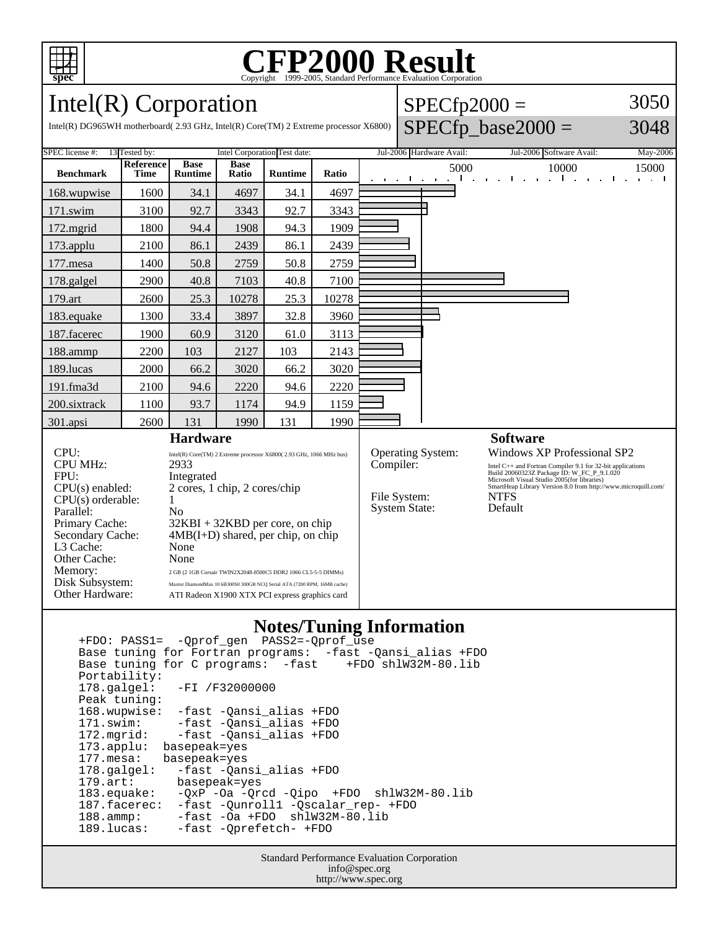

# C<sub>opyright</sub> ©1999-2005, Standard Performance Evaluation Corporation

 $SPECfp2000 =$ 

3050

Intel(R) Corporation

| Intel(R) DG965WH motherboard(2.93 GHz, Intel(R) Core(TM) 2 Extreme processor X6800)                                               |                                                |                                                                                                                                                                                                                                                           |                      |                |       |                          |                                      |  |      | $SPECfp\_base2000 =$     |                                                                                                                                                                                                                                                         |       |                                              |          | 3048  |
|-----------------------------------------------------------------------------------------------------------------------------------|------------------------------------------------|-----------------------------------------------------------------------------------------------------------------------------------------------------------------------------------------------------------------------------------------------------------|----------------------|----------------|-------|--------------------------|--------------------------------------|--|------|--------------------------|---------------------------------------------------------------------------------------------------------------------------------------------------------------------------------------------------------------------------------------------------------|-------|----------------------------------------------|----------|-------|
| SPEC license #:<br>13 Tested by:                                                                                                  | Intel Corporation Test date:                   |                                                                                                                                                                                                                                                           |                      |                |       | Jul-2006 Hardware Avail: |                                      |  |      |                          | Jul-2006 Software Avail:                                                                                                                                                                                                                                |       |                                              | May-2006 |       |
| <b>Benchmark</b>                                                                                                                  | Reference<br><b>Time</b>                       | <b>Base</b><br><b>Runtime</b>                                                                                                                                                                                                                             | <b>Base</b><br>Ratio | <b>Runtime</b> | Ratio |                          | the contract of the contract         |  | 5000 | <b>Contract Contract</b> | $\mathbf{I}$                                                                                                                                                                                                                                            | 10000 | the probability of the control of the second |          | 15000 |
| 168.wupwise                                                                                                                       | 1600                                           | 34.1                                                                                                                                                                                                                                                      | 4697                 | 34.1           | 4697  |                          |                                      |  |      |                          |                                                                                                                                                                                                                                                         |       |                                              |          |       |
| 171.swim                                                                                                                          | 3100                                           | 92.7                                                                                                                                                                                                                                                      | 3343                 | 92.7           | 3343  |                          |                                      |  |      |                          |                                                                                                                                                                                                                                                         |       |                                              |          |       |
| $172$ .mgrid                                                                                                                      | 1800                                           | 94.4                                                                                                                                                                                                                                                      | 1908                 | 94.3           | 1909  |                          |                                      |  |      |                          |                                                                                                                                                                                                                                                         |       |                                              |          |       |
| 173.applu                                                                                                                         | 2100                                           | 86.1                                                                                                                                                                                                                                                      | 2439                 | 86.1           | 2439  |                          |                                      |  |      |                          |                                                                                                                                                                                                                                                         |       |                                              |          |       |
| $177$ .mesa                                                                                                                       | 1400                                           | 50.8                                                                                                                                                                                                                                                      | 2759                 | 50.8           | 2759  |                          |                                      |  |      |                          |                                                                                                                                                                                                                                                         |       |                                              |          |       |
| 178.galgel                                                                                                                        | 2900                                           | 40.8                                                                                                                                                                                                                                                      | 7103                 | 40.8           | 7100  |                          |                                      |  |      |                          |                                                                                                                                                                                                                                                         |       |                                              |          |       |
| 179.art                                                                                                                           | 2600                                           | 25.3                                                                                                                                                                                                                                                      | 10278                | 25.3           | 10278 |                          |                                      |  |      |                          |                                                                                                                                                                                                                                                         |       |                                              |          |       |
| 183.equake                                                                                                                        | 1300                                           | 33.4                                                                                                                                                                                                                                                      | 3897                 | 32.8           | 3960  |                          |                                      |  |      |                          |                                                                                                                                                                                                                                                         |       |                                              |          |       |
| 187.facerec                                                                                                                       | 1900                                           | 60.9                                                                                                                                                                                                                                                      | 3120                 | 61.0           | 3113  |                          |                                      |  |      |                          |                                                                                                                                                                                                                                                         |       |                                              |          |       |
| 188.ammp                                                                                                                          | 2200                                           | 103                                                                                                                                                                                                                                                       | 2127                 | 103            | 2143  |                          |                                      |  |      |                          |                                                                                                                                                                                                                                                         |       |                                              |          |       |
| 189.lucas                                                                                                                         | 2000                                           | 66.2                                                                                                                                                                                                                                                      | 3020                 | 66.2           | 3020  |                          |                                      |  |      |                          |                                                                                                                                                                                                                                                         |       |                                              |          |       |
| 191.fma3d                                                                                                                         | 2100                                           | 94.6                                                                                                                                                                                                                                                      | 2220                 | 94.6           | 2220  |                          |                                      |  |      |                          |                                                                                                                                                                                                                                                         |       |                                              |          |       |
| 200.sixtrack                                                                                                                      | 1100                                           | 93.7                                                                                                                                                                                                                                                      | 1174                 | 94.9           | 1159  |                          |                                      |  |      |                          |                                                                                                                                                                                                                                                         |       |                                              |          |       |
| 301.apsi                                                                                                                          | 2600                                           | 131                                                                                                                                                                                                                                                       | 1990                 | 131            | 1990  |                          |                                      |  |      |                          |                                                                                                                                                                                                                                                         |       |                                              |          |       |
| <b>Hardware</b>                                                                                                                   |                                                |                                                                                                                                                                                                                                                           |                      |                |       |                          |                                      |  |      |                          | <b>Software</b>                                                                                                                                                                                                                                         |       |                                              |          |       |
| CPU:<br><b>CPU MHz:</b><br>FPU:<br>$CPU(s)$ enabled:                                                                              |                                                | Intel(R) Core(TM) 2 Extreme processor X6800(2.93 GHz, 1066 MHz bus)<br>2933<br>Integrated<br>2 cores, 1 chip, 2 cores/chip                                                                                                                                |                      |                |       |                          | Operating System:<br>Compiler:       |  |      |                          | Windows XP Professional SP2<br>Intel C++ and Fortran Compiler 9.1 for 32-bit applications<br>Build 20060323Z Package ID: W_FC_P_9.1.020<br>Microsoft Visual Studio 2005(for libraries)<br>SmartHeap Library Version 8.0 from http://www.microquill.com/ |       |                                              |          |       |
| $CPU(s)$ orderable:<br>Parallel:<br>Primary Cache:<br>Secondary Cache:<br>L3 Cache:<br>Other Cache:<br>Memory:<br>Disk Subsystem: |                                                | N <sub>o</sub><br>$32KBI + 32KBD$ per core, on chip<br>$4MB(I+D)$ shared, per chip, on chip<br>None<br>None<br>2 GB (2 1GB Corsair TWIN2X2048-8500C5 DDR2 1066 CL5-5-5 DIMMs)<br>Maxtor DiamondMax 10 6B300S0 300GB NCQ Serial ATA (7200 RPM, 16MB cache) |                      |                |       |                          | File System:<br><b>System State:</b> |  |      | <b>NTFS</b><br>Default   |                                                                                                                                                                                                                                                         |       |                                              |          |       |
| Other Hardware:                                                                                                                   | ATI Radeon X1900 XTX PCI express graphics card |                                                                                                                                                                                                                                                           |                      |                |       |                          |                                      |  |      |                          |                                                                                                                                                                                                                                                         |       |                                              |          |       |

#### **Notes/Tuning Information**

 +FDO: PASS1= -Qprof\_gen PASS2=-Qprof\_use Base tuning for Fortran programs: -fast -Qansi\_alias +FDO Base tuning for C programs: -fast +FDO shlW32M-80.lib Portability:<br>178.galgel: -FI /F32000000 Peak tuning: 168.wupwise: -fast -Qansi\_alias +FDO 171.swim: -fast -Qansi\_alias +FDO<br>172.mgrid: -fast -Qansi\_alias +FDO 172.mgrid: -fast -Qansi\_alias +FDO 173.applu: basepeak=yes 177.mesa: basepeak=yes 178.galgel: -fast -Qansi\_alias +FDO<br>179.art: basepeak=yes 179.art: basepeak=yes<br>183.equake: -QxP -Oa -Qr  $-QxP$  -Oa  $-Qrcd$  -Qipo +FDO shlW32M-80.lib 187.facerec: -fast -Qunroll1 -Qscalar\_rep- +FDO 188.ammp: -fast -Oa +FDO shlW32M-80.lib 189.lucas: -fast -Qprefetch- +FDO

> Standard Performance Evaluation Corporation info@spec.org http://www.spec.org